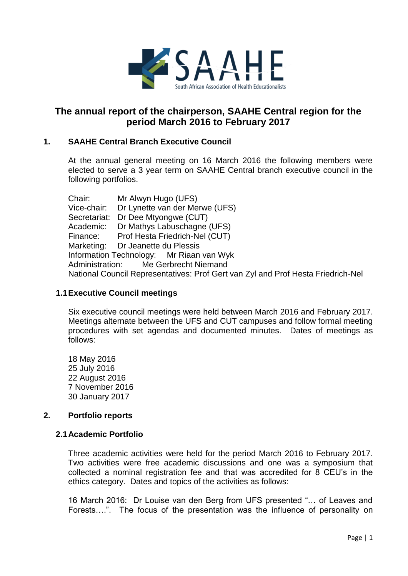

# **The annual report of the chairperson, SAAHE Central region for the period March 2016 to February 2017**

## **1. SAAHE Central Branch Executive Council**

At the annual general meeting on 16 March 2016 the following members were elected to serve a 3 year term on SAAHE Central branch executive council in the following portfolios.

Chair: Mr Alwyn Hugo (UFS) Vice-chair: Dr Lynette van der Merwe (UFS) Secretariat: Dr Dee Mtyongwe (CUT) Academic: Dr Mathys Labuschagne (UFS) Finance: Prof Hesta Friedrich-Nel (CUT) Marketing: Dr Jeanette du Plessis Information Technology: Mr Riaan van Wyk Administration: Me Gerbrecht Niemand National Council Representatives: Prof Gert van Zyl and Prof Hesta Friedrich-Nel

### **1.1Executive Council meetings**

Six executive council meetings were held between March 2016 and February 2017. Meetings alternate between the UFS and CUT campuses and follow formal meeting procedures with set agendas and documented minutes. Dates of meetings as follows:

18 May 2016 25 July 2016 22 August 2016 7 November 2016 30 January 2017

### **2. Portfolio reports**

### **2.1Academic Portfolio**

Three academic activities were held for the period March 2016 to February 2017. Two activities were free academic discussions and one was a symposium that collected a nominal registration fee and that was accredited for 8 CEU's in the ethics category. Dates and topics of the activities as follows:

16 March 2016: Dr Louise van den Berg from UFS presented "… of Leaves and Forests….". The focus of the presentation was the influence of personality on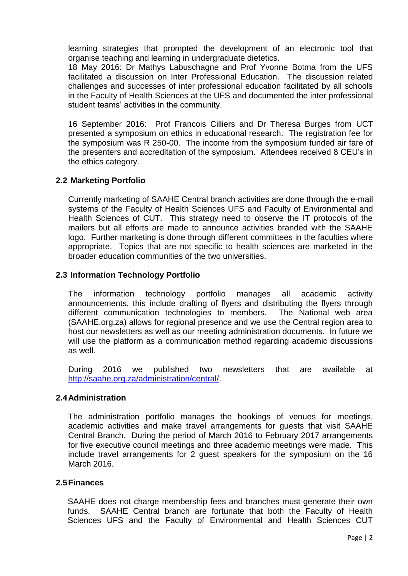learning strategies that prompted the development of an electronic tool that organise teaching and learning in undergraduate dietetics.

18 May 2016: Dr Mathys Labuschagne and Prof Yvonne Botma from the UFS facilitated a discussion on Inter Professional Education. The discussion related challenges and successes of inter professional education facilitated by all schools in the Faculty of Health Sciences at the UFS and documented the inter professional student teams' activities in the community.

16 September 2016: Prof Francois Cilliers and Dr Theresa Burges from UCT presented a symposium on ethics in educational research. The registration fee for the symposium was R 250-00. The income from the symposium funded air fare of the presenters and accreditation of the symposium. Attendees received 8 CEU's in the ethics category.

### **2.2 Marketing Portfolio**

Currently marketing of SAAHE Central branch activities are done through the e-mail systems of the Faculty of Health Sciences UFS and Faculty of Environmental and Health Sciences of CUT. This strategy need to observe the IT protocols of the mailers but all efforts are made to announce activities branded with the SAAHE logo. Further marketing is done through different committees in the faculties where appropriate. Topics that are not specific to health sciences are marketed in the broader education communities of the two universities.

### **2.3 Information Technology Portfolio**

The information technology portfolio manages all academic activity announcements, this include drafting of flyers and distributing the flyers through different communication technologies to members. The National web area (SAAHE.org.za) allows for regional presence and we use the Central region area to host our newsletters as well as our meeting administration documents. In future we will use the platform as a communication method regarding academic discussions as well.

During 2016 we published two newsletters that are available at [http://saahe.org.za/administration/central/.](http://saahe.org.za/administration/central/)

### **2.4Administration**

The administration portfolio manages the bookings of venues for meetings, academic activities and make travel arrangements for guests that visit SAAHE Central Branch. During the period of March 2016 to February 2017 arrangements for five executive council meetings and three academic meetings were made. This include travel arrangements for 2 guest speakers for the symposium on the 16 March 2016.

### **2.5Finances**

SAAHE does not charge membership fees and branches must generate their own funds. SAAHE Central branch are fortunate that both the Faculty of Health Sciences UFS and the Faculty of Environmental and Health Sciences CUT